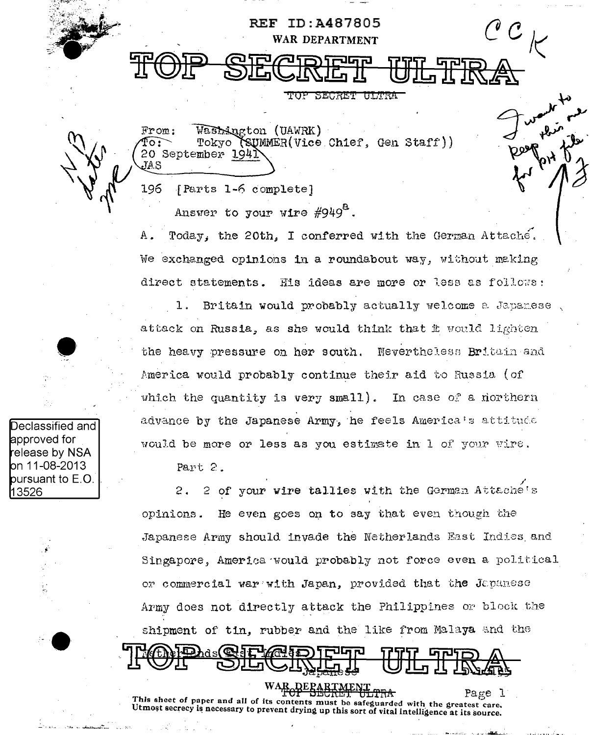**REF ID:A487805** WAR DEPARTMENT TOP SECRET ULTRA Wasterston (UAWRK)  $From:$ SUMMER(Vice Chief, Gen Staff)) }o : Tokyo 20 September 1941 JAS 196 [Parts 1-6 complete] Answer to your wire #949<sup>t.</sup>

А. Today, the 20th, I conferred with the German Attaché. We exchanged opinions in a roundabout way, without making direct statements. His ideas are more or less as follows:

Britain would probably actually welcome a Japanese, 1. attack on Russia, as she would think that it would lighten the heavy pressure on her south. Nevertheless Britain and America would probably continue their aid to Russia (of which the quantity is very small). In case of a morthern advance by the Japanese Army, he feels America's attitude would be more or less as you estimate in 1 of your wire.

Part 2.

2 of your wire tallies with the German Attache's  $2.$ He even goes on to say that even though the opinions. Japanese Army should invade the Netherlands East Indies and Singapore. America would probably not force even a political or commercial war with Japan, provided that the Japanese Army does not directly attack the Philippines or block the shipment of tin, rubber and the like from Malaya and the

h∂s( ® ∕мЧа О

Page l This sheet of paper and all of its contents must be safeguarded with the greatest care. Utmost secrecy is necessary to prevent drying up this sort of vital intelligence at its source.

**DEPAR** 

**D**eclassified and approved for release by NSA **b**n 11-08-2013 pursuant to E.O. 13526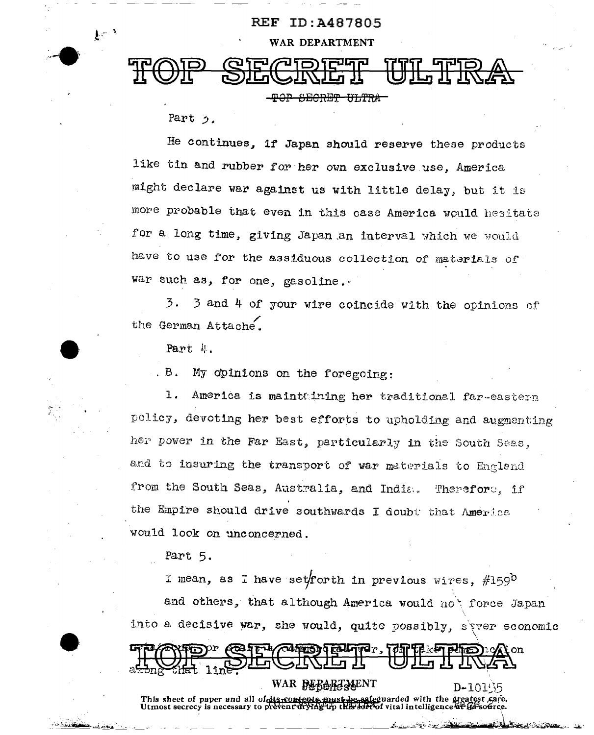

<del>-TOP SECRET ULTRA</del>

Part 5.

 $k^{2}$ 

He continues, if Japan should reserve these products like tin and rubber for her own exclusive use, America might declare war against us with little delay, but it is more probable that even in this case America would hesitate for a long time, giving Japan an interval which we would have to use for the assiduous collection of materials of war such as, for one, gasoline.

 $\overline{3}$ . 3 and 4 of your wire coincide with the opinions of the German Attache.

Part 4

. B. My opinions on the foregoing:

1. America is maintaining her traditional far-eastern policy, devoting her best efforts to upholding and augmenting her power in the Far East, particularly in the South Seas, and to insuring the transport of war materials to England from the South Seas, Australia, and India. Therefore, if the Empire should drive southwards I doubt that America would look on unconcerned.

Part 5.

pr **GENTI** 

This sheet of paper and all of discontents<br>Utmost secrecy is necessary to prevent dryth

**Report** 

WAR DEBARTMENT

I mean, as I have set forth in previous wires, #1590 and others, that although America would not force Japan into a decisive war, she would, quite possibly, siver economic

D-10155

equarded with the greatest care.  $\sigma$ f vital intelligence at f